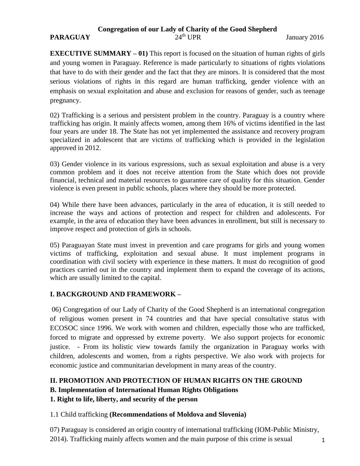## **Congregation of our Lady of Charity of the Good Shepherd**

#### **PARAGUAY** 24<sup>th</sup> UPR January 2016

**EXECUTIVE SUMMARY – 01)** This report is focused on the situation of human rights of girls and young women in Paraguay. Reference is made particularly to situations of rights violations that have to do with their gender and the fact that they are minors. It is considered that the most serious violations of rights in this regard are human trafficking, gender violence with an emphasis on sexual exploitation and abuse and exclusion for reasons of gender, such as teenage pregnancy.

02) Trafficking is a serious and persistent problem in the country. Paraguay is a country where trafficking has origin. It mainly affects women, among them 16% of victims identified in the last four years are under 18. The State has not yet implemented the assistance and recovery program specialized in adolescent that are victims of trafficking which is provided in the legislation approved in 2012.

03) Gender violence in its various expressions, such as sexual exploitation and abuse is a very common problem and it does not receive attention from the State which does not provide financial, technical and material resources to guarantee care of quality for this situation. Gender violence is even present in public schools, places where they should be more protected.

04) While there have been advances, particularly in the area of education, it is still needed to increase the ways and actions of protection and respect for children and adolescents. For example, in the area of education they have been advances in enrollment, but still is necessary to improve respect and protection of girls in schools.

05) Paraguayan State must invest in prevention and care programs for girls and young women victims of trafficking, exploitation and sexual abuse. It must implement programs in coordination with civil society with experience in these matters. It must do recognition of good practices carried out in the country and implement them to expand the coverage of its actions, which are usually limited to the capital.

#### **I. BACKGROUND AND FRAMEWORK –**

06) Congregation of our Lady of Charity of the Good Shepherd is an international congregation of religious women present in 74 countries and that have special consultative status with ECOSOC since 1996. We work with women and children, especially those who are trafficked, forced to migrate and oppressed by extreme poverty. We also support projects for economic justice. - From its holistic view towards family the organization in Paraguay works with children, adolescents and women, from a rights perspective. We also work with projects for economic justice and communitarian development in many areas of the country.

# **II. PROMOTION AND PROTECTION OF HUMAN RIGHTS ON THE GROUND**

**B. Implementation of International Human Rights Obligations**

**1. Right to life, liberty, and security of the person**

## 1.1 Child trafficking **(Recommendations of Moldova and Slovenia)**

07) Paraguay is considered an origin country of international trafficking (IOM-Public Ministry, 2014). Trafficking mainly affects women and the main purpose of this crime is sexual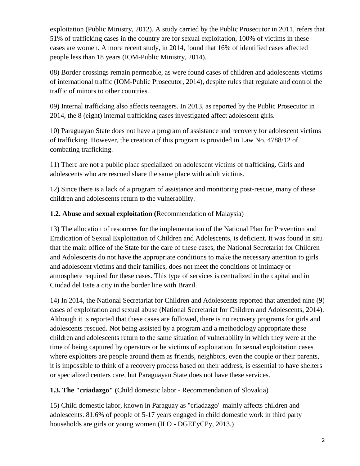exploitation (Public Ministry, 2012). A study carried by the Public Prosecutor in 2011, refers that 51% of trafficking cases in the country are for sexual exploitation, 100% of victims in these cases are women. A more recent study, in 2014, found that 16% of identified cases affected people less than 18 years (IOM-Public Ministry, 2014).

08) Border crossings remain permeable, as were found cases of children and adolescents victims of international traffic (IOM-Public Prosecutor, 2014), despite rules that regulate and control the traffic of minors to other countries.

09) Internal trafficking also affects teenagers. In 2013, as reported by the Public Prosecutor in 2014, the 8 (eight) internal trafficking cases investigated affect adolescent girls.

10) Paraguayan State does not have a program of assistance and recovery for adolescent victims of trafficking. However, the creation of this program is provided in Law No. 4788/12 of combating trafficking.

11) There are not a public place specialized on adolescent victims of trafficking. Girls and adolescents who are rescued share the same place with adult victims.

12) Since there is a lack of a program of assistance and monitoring post-rescue, many of these children and adolescents return to the vulnerability.

# **1.2. Abuse and sexual exploitation (**Recommendation of Malaysia)

13) The allocation of resources for the implementation of the National Plan for Prevention and Eradication of Sexual Exploitation of Children and Adolescents, is deficient. It was found in situ that the main office of the State for the care of these cases, the National Secretariat for Children and Adolescents do not have the appropriate conditions to make the necessary attention to girls and adolescent victims and their families, does not meet the conditions of intimacy or atmosphere required for these cases. This type of services is centralized in the capital and in Ciudad del Este a city in the border line with Brazil.

14) In 2014, the National Secretariat for Children and Adolescents reported that attended nine (9) cases of exploitation and sexual abuse (National Secretariat for Children and Adolescents, 2014). Although it is reported that these cases are followed, there is no recovery programs for girls and adolescents rescued. Not being assisted by a program and a methodology appropriate these children and adolescents return to the same situation of vulnerability in which they were at the time of being captured by operators or be victims of exploitation. In sexual exploitation cases where exploiters are people around them as friends, neighbors, even the couple or their parents, it is impossible to think of a recovery process based on their address, is essential to have shelters or specialized centers care, but Paraguayan State does not have these services.

**1.3. The "criadazgo" (**Child domestic labor - Recommendation of Slovakia)

15) Child domestic labor, known in Paraguay as "criadazgo" mainly affects children and adolescents. 81.6% of people of 5-17 years engaged in child domestic work in third party households are girls or young women (ILO - DGEEyCPy, 2013.)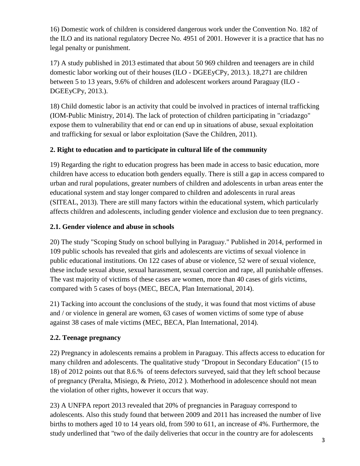16) Domestic work of children is considered dangerous work under the Convention No. 182 of the ILO and its national regulatory Decree No. 4951 of 2001. However it is a practice that has no legal penalty or punishment.

17) A study published in 2013 estimated that about 50 969 children and teenagers are in child domestic labor working out of their houses (ILO - DGEEyCPy, 2013.). 18,271 are children between 5 to 13 years, 9.6% of children and adolescent workers around Paraguay (ILO - DGEEyCPy, 2013.).

18) Child domestic labor is an activity that could be involved in practices of internal trafficking (IOM-Public Ministry, 2014). The lack of protection of children participating in "criadazgo" expose them to vulnerability that end or can end up in situations of abuse, sexual exploitation and trafficking for sexual or labor exploitation (Save the Children, 2011).

## **2. Right to education and to participate in cultural life of the community**

19) Regarding the right to education progress has been made in access to basic education, more children have access to education both genders equally. There is still a gap in access compared to urban and rural populations, greater numbers of children and adolescents in urban areas enter the educational system and stay longer compared to children and adolescents in rural areas (SITEAL, 2013). There are still many factors within the educational system, which particularly affects children and adolescents, including gender violence and exclusion due to teen pregnancy.

## **2.1. Gender violence and abuse in schools**

20) The study "Scoping Study on school bullying in Paraguay." Published in 2014, performed in 109 public schools has revealed that girls and adolescents are victims of sexual violence in public educational institutions. On 122 cases of abuse or violence, 52 were of sexual violence, these include sexual abuse, sexual harassment, sexual coercion and rape, all punishable offenses. The vast majority of victims of these cases are women, more than 40 cases of girls victims, compared with 5 cases of boys (MEC, BECA, Plan International, 2014).

21) Tacking into account the conclusions of the study, it was found that most victims of abuse and / or violence in general are women, 63 cases of women victims of some type of abuse against 38 cases of male victims (MEC, BECA, Plan International, 2014).

## **2.2. Teenage pregnancy**

22) Pregnancy in adolescents remains a problem in Paraguay. This affects access to education for many children and adolescents. The qualitative study "Dropout in Secondary Education" (15 to 18) of 2012 points out that 8.6.% of teens defectors surveyed, said that they left school because of pregnancy (Peralta, Misiego, & Prieto, 2012 ). Motherhood in adolescence should not mean the violation of other rights, however it occurs that way.

23) A UNFPA report 2013 revealed that 20% of pregnancies in Paraguay correspond to adolescents. Also this study found that between 2009 and 2011 has increased the number of live births to mothers aged 10 to 14 years old, from 590 to 611, an increase of 4%. Furthermore, the study underlined that "two of the daily deliveries that occur in the country are for adolescents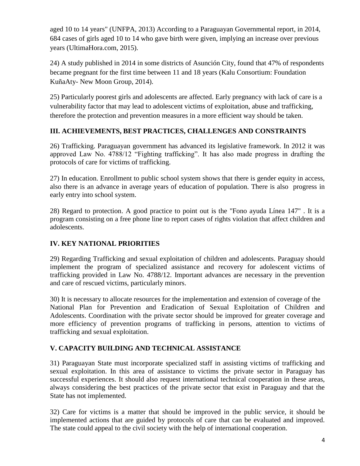aged 10 to 14 years" (UNFPA, 2013) According to a Paraguayan Governmental report, in 2014, 684 cases of girls aged 10 to 14 who gave birth were given, implying an increase over previous years (UltimaHora.com, 2015).

24) A study published in 2014 in some districts of Asunción City, found that 47% of respondents became pregnant for the first time between 11 and 18 years (Kalu Consortium: Foundation KuñaAty- New Moon Group, 2014).

25) Particularly poorest girls and adolescents are affected. Early pregnancy with lack of care is a vulnerability factor that may lead to adolescent victims of exploitation, abuse and trafficking, therefore the protection and prevention measures in a more efficient way should be taken.

#### **III. ACHIEVEMENTS, BEST PRACTICES, CHALLENGES AND CONSTRAINTS**

26) Trafficking. Paraguayan government has advanced its legislative framework. In 2012 it was approved Law No. 4788/12 "Fighting trafficking". It has also made progress in drafting the protocols of care for victims of trafficking.

27) In education. Enrollment to public school system shows that there is gender equity in access, also there is an advance in average years of education of population. There is also progress in early entry into school system.

28) Regard to protection. A good practice to point out is the "Fono ayuda Línea 147" . It is a program consisting on a free phone line to report cases of rights violation that affect children and adolescents.

## **IV. KEY NATIONAL PRIORITIES**

29) Regarding Trafficking and sexual exploitation of children and adolescents. Paraguay should implement the program of specialized assistance and recovery for adolescent victims of trafficking provided in Law No. 4788/12. Important advances are necessary in the prevention and care of rescued victims, particularly minors.

30) It is necessary to allocate resources for the implementation and extension of coverage of the National Plan for Prevention and Eradication of Sexual Exploitation of Children and Adolescents. Coordination with the private sector should be improved for greater coverage and more efficiency of prevention programs of trafficking in persons, attention to victims of trafficking and sexual exploitation.

#### **V. CAPACITY BUILDING AND TECHNICAL ASSISTANCE**

31) Paraguayan State must incorporate specialized staff in assisting victims of trafficking and sexual exploitation. In this area of assistance to victims the private sector in Paraguay has successful experiences. It should also request international technical cooperation in these areas, always considering the best practices of the private sector that exist in Paraguay and that the State has not implemented.

32) Care for victims is a matter that should be improved in the public service, it should be implemented actions that are guided by protocols of care that can be evaluated and improved. The state could appeal to the civil society with the help of international cooperation.